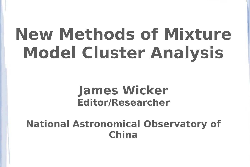# **New Methods of Mixture Model Cluster Analysis**

#### **James Wicker Editor/Researcher**

#### **National Astronomical Observatory of China**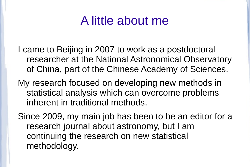### A little about me

- I came to Beijing in 2007 to work as a postdoctoral researcher at the National Astronomical Observatory of China, part of the Chinese Academy of Sciences.
- My research focused on developing new methods in statistical analysis which can overcome problems inherent in traditional methods.
- Since 2009, my main job has been to be an editor for a research journal about astronomy, but I am continuing the research on new statistical methodology.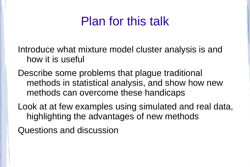# Plan for this talk

Introduce what mixture model cluster analysis is and how it is useful

Describe some problems that plague traditional methods in statistical analysis, and show how new methods can overcome these handicaps

Look at at few examples using simulated and real data, highlighting the advantages of new methods

Questions and discussion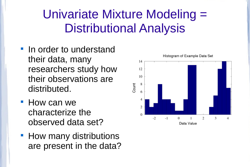# Univariate Mixture Modeling = Distributional Analysis

- In order to understand their data, many researchers study how their observations are distributed.
- **How can we** characterize the observed data set?
- **How many distributions** are present in the data?

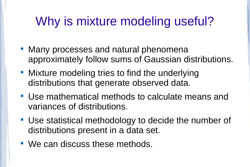# Why is mixture modeling useful?

- **Many processes and natural phenomena** approximately follow sums of Gaussian distributions.
- **Mixture modeling tries to find the underlying** distributions that generate observed data.
- Use mathematical methods to calculate means and variances of distributions.
- Use statistical methodology to decide the number of distributions present in a data set.
- We can discuss these methods.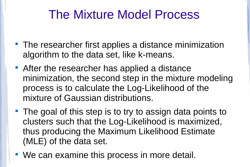# The Mixture Model Process

- **The researcher first applies a distance minimization** algorithm to the data set, like k-means.
- After the researcher has applied a distance minimization, the second step in the mixture modeling process is to calculate the Log-Likelihood of the mixture of Gaussian distributions.
- The goal of this step is to try to assign data points to clusters such that the Log-Likelihood is maximized, thus producing the Maximum Likelihood Estimate (MLE) of the data set.
- We can examine this process in more detail.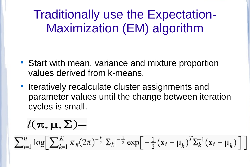Traditionally use the Expectation-Maximization (EM) algorithm

- Start with mean, variance and mixture proportion values derived from k-means.
- **Interatively recalculate cluster assignments and** parameter values until the change between iteration cycles is small.

### $l(\pi, \mu, \Sigma) =$

 $\sum_{i=1}^n \log \left[ \sum_{k=1}^K \pi_k (2\pi)^{-\frac{p}{2}} |\Sigma_k|^{-\frac{1}{2}} \exp \left[ -\frac{1}{2} (\mathbf{x}_i - \mu_k)^T \Sigma_k^{-1} (\mathbf{x}_i - \mu_k) \right] \right]$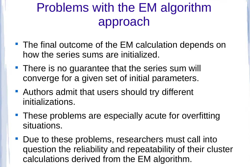# Problems with the EM algorithm approach

- The final outcome of the EM calculation depends on how the series sums are initialized.
- **There is no guarantee that the series sum will** converge for a given set of initial parameters.
- **Authors admit that users should try different** initializations.
- **These problems are especially acute for overfitting** situations.
- Due to these problems, researchers must call into question the reliability and repeatability of their cluster calculations derived from the EM algorithm.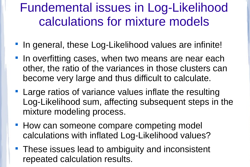# Fundemental issues in Log-Likelihood calculations for mixture models

- **IF In general, these Log-Likelihood values are infinite!**
- In overfitting cases, when two means are near each other, the ratio of the variances in those clusters can become very large and thus difficult to calculate.
- **Large ratios of variance values inflate the resulting** Log-Likelihood sum, affecting subsequent steps in the mixture modeling process.
- **How can someone compare competing model** calculations with inflated Log-Likelihood values?
- **These issues lead to ambiguity and inconsistent** repeated calculation results.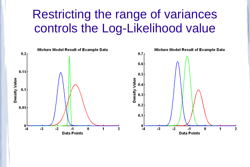### Restricting the range of variances controls the Log-Likelihood value

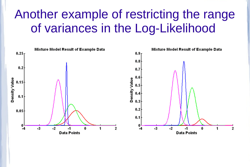### Another example of restricting the range of variances in the Log-Likelihood

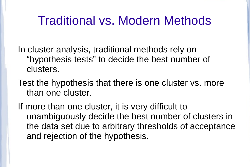### Traditional vs. Modern Methods

In cluster analysis, traditional methods rely on "hypothesis tests" to decide the best number of clusters.

Test the hypothesis that there is one cluster vs. more than one cluster.

If more than one cluster, it is very difficult to unambiguously decide the best number of clusters in the data set due to arbitrary thresholds of acceptance and rejection of the hypothesis.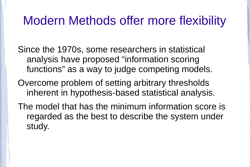### Modern Methods offer more flexibility

Since the 1970s, some researchers in statistical analysis have proposed "information scoring functions" as a way to judge competing models.

Overcome problem of setting arbitrary thresholds inherent in hypothesis-based statistical analysis.

The model that has the minimum information score is regarded as the best to describe the system under study.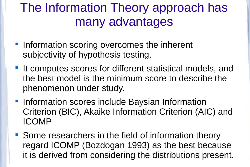# The Information Theory approach has many advantages

- **Information scoring overcomes the inherent** subjectivity of hypothesis testing.
- **If computes scores for different statistical models, and** the best model is the minimum score to describe the phenomenon under study.
- **Information scores include Baysian Information** Criterion (BIC), Akaike Information Criterion (AIC) and ICOMP
- **Some researchers in the field of information theory** regard ICOMP (Bozdogan 1993) as the best because it is derived from considering the distributions present.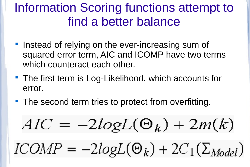# Information Scoring functions attempt to find a better balance

- **Instead of relying on the ever-increasing sum of** squared error term, AIC and ICOMP have two terms which counteract each other.
- **The first term is Log-Likelihood, which accounts for** error.
- The second term tries to protect from overfitting.

$$
AIC = -2logL(\Theta_k) + 2m(k)
$$

$$
ICOMP = -2logL(\Theta_k) + 2C_1(\Sigma_{Model})
$$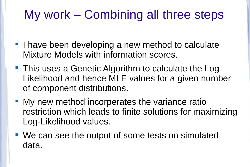# My work – Combining all three steps

- **I** have been developing a new method to calculate Mixture Models with information scores.
- This uses a Genetic Algorithm to calculate the Log-Likelihood and hence MLE values for a given number of component distributions.
- **My new method incorperates the variance ratio** restriction which leads to finite solutions for maximizing Log-Likelihood values.
- We can see the output of some tests on simulated data.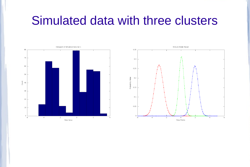#### Simulated data with three clusters



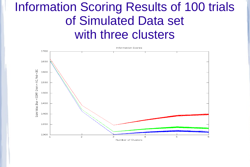### Information Scoring Results of 100 trials of Simulated Data set with three clusters

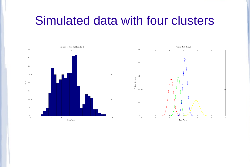#### Simulated data with four clusters



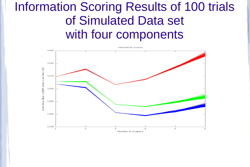## Information Scoring Results of 100 trials of Simulated Data set with four components

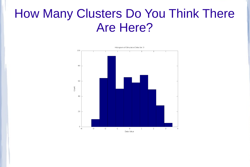#### How Many Clusters Do You Think There Are Here?

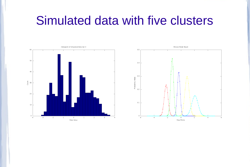#### Simulated data with five clusters



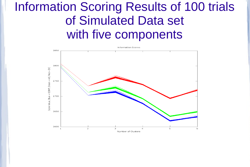### Information Scoring Results of 100 trials of Simulated Data set with five components

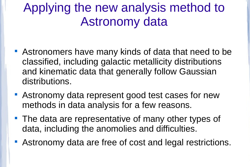# Applying the new analysis method to Astronomy data

- Astronomers have many kinds of data that need to be classified, including galactic metallicity distributions and kinematic data that generally follow Gaussian distributions.
- Astronomy data represent good test cases for new methods in data analysis for a few reasons.
- **The data are representative of many other types of** data, including the anomolies and difficulties.
- Astronomy data are free of cost and legal restrictions.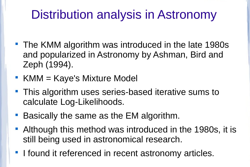# Distribution analysis in Astronomy

- **The KMM algorithm was introduced in the late 1980s** and popularized in Astronomy by Ashman, Bird and Zeph (1994).
- $\blacksquare$  KMM = Kaye's Mixture Model
- **This algorithm uses series-based iterative sums to** calculate Log-Likelihoods.
- **Basically the same as the EM algorithm.**
- Although this method was introduced in the 1980s, it is still being used in astronomical research.
- **I** found it referenced in recent astronomy articles.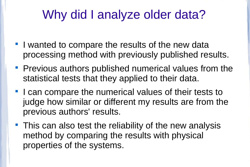# Why did I analyze older data?

- **I** wanted to compare the results of the new data processing method with previously published results.
- **Previous authors published numerical values from the** statistical tests that they applied to their data.
- **I** can compare the numerical values of their tests to judge how similar or different my results are from the previous authors' results.
- This can also test the reliability of the new analysis method by comparing the results with physical properties of the systems.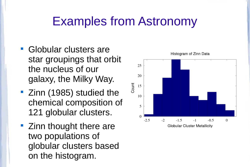## Examples from Astronomy

- Globular clusters are star groupings that orbit the nucleus of our galaxy, the Milky Way.
- **EXAMP 25 The 2016 21 Studied the** chemical composition of 121 globular clusters.
- Zinn thought there are two populations of globular clusters based on the histogram.

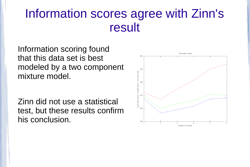### Information scores agree with Zinn's result

Information scoring found that this data set is best modeled by a two component mixture model.

Zinn did not use a statistical test, but these results confirm his conclusion.

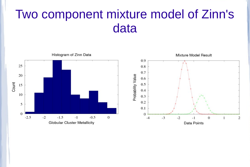### Two component mixture model of Zinn's data

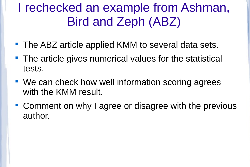# I rechecked an example from Ashman, Bird and Zeph (ABZ)

- **The ABZ article applied KMM to several data sets.**
- **The article gives numerical values for the statistical** tests.
- We can check how well information scoring agrees with the KMM result.
- Comment on why I agree or disagree with the previous author.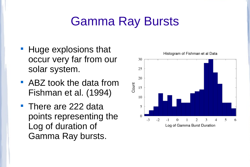# Gamma Ray Bursts

- **Huge explosions that** occur very far from our solar system.
- ABZ took the data from Fishman et al. (1994)
- **There are 222 data** points representing the Log of duration of Gamma Ray bursts.

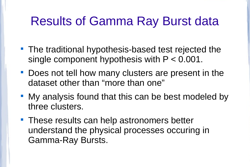### Results of Gamma Ray Burst data

- **The traditional hypothesis-based test rejected the** single component hypothesis with P < 0.001.
- **Does not tell how many clusters are present in the** dataset other than "more than one"
- My analysis found that this can be best modeled by three clusters.
- **These results can help astronomers better** understand the physical processes occuring in Gamma-Ray Bursts.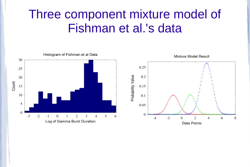### Three component mixture model of Fishman et al.'s data

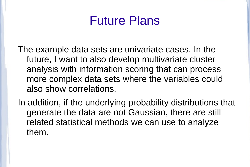### Future Plans

The example data sets are univariate cases. In the future, I want to also develop multivariate cluster analysis with information scoring that can process more complex data sets where the variables could also show correlations.

In addition, if the underlying probability distributions that generate the data are not Gaussian, there are still related statistical methods we can use to analyze them.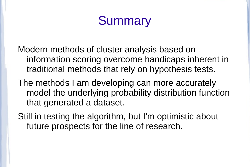# **Summary**

Modern methods of cluster analysis based on information scoring overcome handicaps inherent in traditional methods that rely on hypothesis tests.

The methods I am developing can more accurately model the underlying probability distribution function that generated a dataset.

Still in testing the algorithm, but I'm optimistic about future prospects for the line of research.